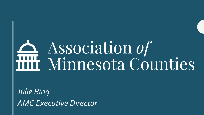# Association of Association of<br>The Minnesota Counties

*Julie Ring AMC Executive Director*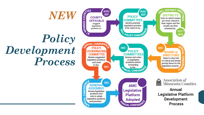# *Policy Development Process*

*NEW*

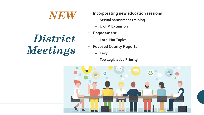#### *NEW*

# *District Meetings*

- **Incorporating new education sessions**
	- **Sexual harassment training**
	- **U of M Extension**
- **Engagement**
	- **Local Hot Topics**
- **Focused County Reports**
	- **Levy**
	- **Top Legislative Priority**

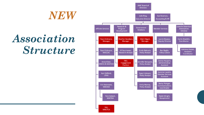### *Association Structure*

*NEW*

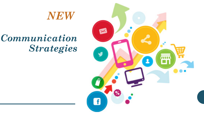#### *NEW*

#### *Communication Strategies*

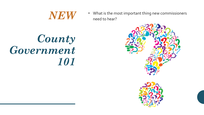

• What is the most important thing new commissioners need to hear?

### *County Government 101*

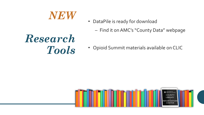#### *NEW*

- DataPile is ready for download
	- Find it on AMC's "County Data" webpage

### *Research Tools*

• Opioid Summit materials available on CLIC

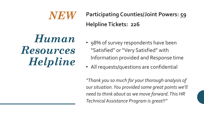#### *NEW* **Participating Counties/Joint Powers: 59 Helpline Tickets: 226**

## *Human Resources Helpline*

- 98% of survey respondents have been "Satisfied" or "Very Satisfied" with Information provided and Response time
- All requests/questions are confidential

*"Thank you so much for your thorough analysis of our situation. You provided some great points we'll need to think about as we move forward. This HR Technical Assistance Program is great!!"*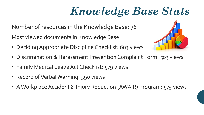# *Knowledge Base Stats*

Number of resources in the Knowledge Base: 76

Most viewed documents in Knowledge Base:

- Deciding Appropriate Discipline Checklist: 603 views
- Discrimination & Harassment Prevention Complaint Form: 503 views
- Family Medical Leave Act Checklist: 579 views
- Record of Verbal Warning: 590 views
- A Workplace Accident & Injury Reduction (AWAIR) Program: 575 views

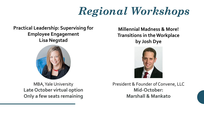# *Regional Workshops*

#### **Practical Leadership: Supervising for Employee Engagement Lisa Negstad**



MBA, Yale University **Late October virtual option Only a few seats remaining**

**Millennial Madness & More! Transitions in the Workplace by Josh Dye**



President & Founder of Convene, LLC **Mid-October: Marshall & Mankato**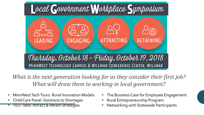

*What is the next generation looking for as they consider their first job? What will draw them to working in local government?*

- MinnWestTech Tours: Rural Innovation Models
- Child Care Panel: Solutions to Shortages
- TED-Talks: Attract & Retain Strategies
- The Business Case for Employee Engagement
- Rural Entrepreneurship Program
- Networking with Statewide Participants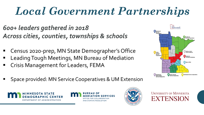# *Local Government Partnerships*

- *600+ leaders gathered in 2018 Across cities, counties, townships & schools*
- Census 2020-prep, MN State Demographer's Office
- Leading Tough Meetings, MN Bureau of Mediation
- **EXECT:** Crisis Management for Leaders, FEMA



Space provided: MN Service Cooperatives & UM Extension







**UNIVERSITY OF MINNESOTA EXTENSION**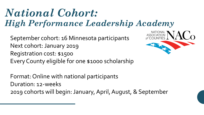#### *National Cohort: High Performance Leadership Academy*

NATIONAL<br>ASSOCIATION<br>of COUNTIES

 $\overline{\mathcal{C}}$ 

September cohort: 16 Minnesota participants Next cohort: January 2019 Registration cost: \$1500 Every County eligible for one \$1000 scholarship

Format: Online with national participants Duration: 12-weeks 2019 cohorts will begin: January, April, August, & September